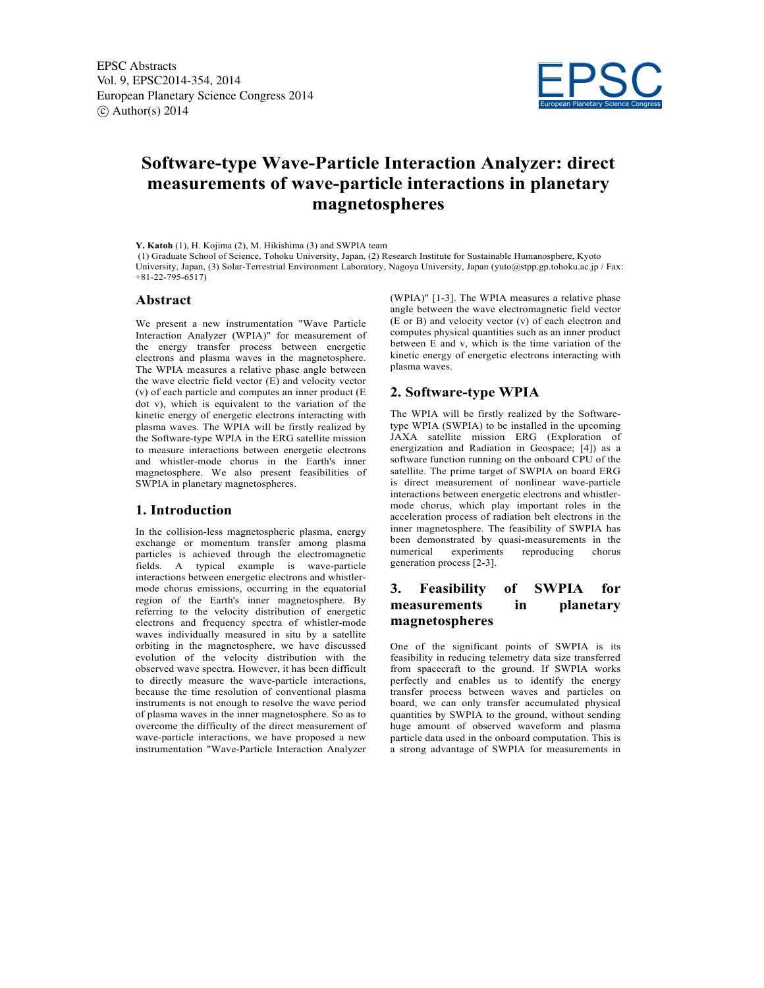

# **Software-type Wave-Particle Interaction Analyzer: direct measurements of wave-particle interactions in planetary magnetospheres**

**Y. Katoh** (1), H. Kojima (2), M. Hikishima (3) and SWPIA team

(1) Graduate School of Science, Tohoku University, Japan, (2) Research Institute for Sustainable Humanosphere, Kyoto University, Japan, (3) Solar-Terrestrial Environment Laboratory, Nagoya University, Japan (yuto@stpp.gp.tohoku.ac.jp / Fax: +81-22-795-6517)

#### **Abstract**

We present a new instrumentation "Wave Particle Interaction Analyzer (WPIA)" for measurement of the energy transfer process between energetic electrons and plasma waves in the magnetosphere. The WPIA measures a relative phase angle between the wave electric field vector (E) and velocity vector (v) of each particle and computes an inner product (E dot v), which is equivalent to the variation of the kinetic energy of energetic electrons interacting with plasma waves. The WPIA will be firstly realized by the Software-type WPIA in the ERG satellite mission to measure interactions between energetic electrons and whistler-mode chorus in the Earth's inner magnetosphere. We also present feasibilities of SWPIA in planetary magnetospheres.

#### **1. Introduction**

In the collision-less magnetospheric plasma, energy exchange or momentum transfer among plasma particles is achieved through the electromagnetic fields. A typical example is wave-particle interactions between energetic electrons and whistlermode chorus emissions, occurring in the equatorial region of the Earth's inner magnetosphere. By referring to the velocity distribution of energetic electrons and frequency spectra of whistler-mode waves individually measured in situ by a satellite orbiting in the magnetosphere, we have discussed evolution of the velocity distribution with the observed wave spectra. However, it has been difficult to directly measure the wave-particle interactions, because the time resolution of conventional plasma instruments is not enough to resolve the wave period of plasma waves in the inner magnetosphere. So as to overcome the difficulty of the direct measurement of wave-particle interactions, we have proposed a new instrumentation "Wave-Particle Interaction Analyzer

(WPIA)" [1-3]. The WPIA measures a relative phase angle between the wave electromagnetic field vector (E or B) and velocity vector (v) of each electron and computes physical quantities such as an inner product between E and v, which is the time variation of the kinetic energy of energetic electrons interacting with plasma waves.

## **2. Software-type WPIA**

The WPIA will be firstly realized by the Softwaretype WPIA (SWPIA) to be installed in the upcoming JAXA satellite mission ERG (Exploration of energization and Radiation in Geospace; [4]) as a software function running on the onboard CPU of the satellite. The prime target of SWPIA on board ERG is direct measurement of nonlinear wave-particle interactions between energetic electrons and whistlermode chorus, which play important roles in the acceleration process of radiation belt electrons in the inner magnetosphere. The feasibility of SWPIA has been demonstrated by quasi-measurements in the numerical experiments reproducing chorus generation process [2-3].

# **3. Feasibility of SWPIA for measurements in planetary magnetospheres**

One of the significant points of SWPIA is its feasibility in reducing telemetry data size transferred from spacecraft to the ground. If SWPIA works perfectly and enables us to identify the energy transfer process between waves and particles on board, we can only transfer accumulated physical quantities by SWPIA to the ground, without sending huge amount of observed waveform and plasma particle data used in the onboard computation. This is a strong advantage of SWPIA for measurements in